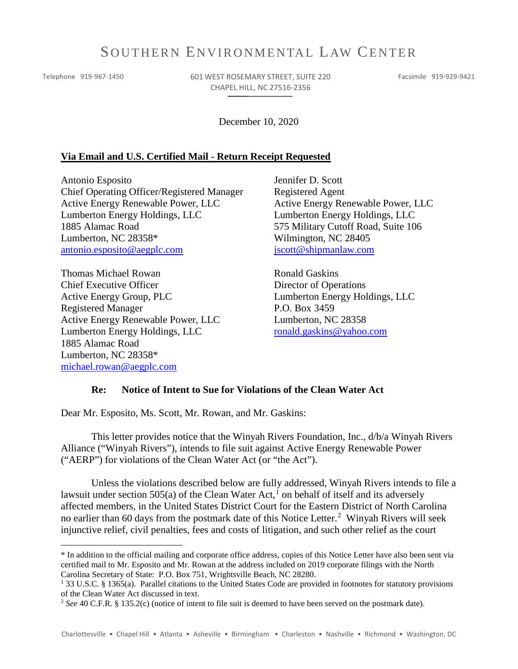# SOUTHERN ENVIRONMENTAL LAW CENTER

 $\overline{a}$ 

Telephone 919-967-1450 601 WEST ROSEMARY STREET, SUITE 220 CHAPEL HILL, NC 27516-2356

Facsimile 919-929-9421

December 10, 2020

#### **Via Email and U.S. Certified Mail - Return Receipt Requested**

Antonio Esposito Chief Operating Officer/Registered Manager Active Energy Renewable Power, LLC Lumberton Energy Holdings, LLC 1885 Alamac Road Lumberton, NC 28358\* [antonio.esposito@aegplc.com](mailto:antonio.esposito@aegplc.com)

Thomas Michael Rowan Chief Executive Officer Active Energy Group, PLC Registered Manager Active Energy Renewable Power, LLC Lumberton Energy Holdings, LLC 1885 Alamac Road Lumberton, NC 28358\* [michael.rowan@aegplc.com](mailto:michael.rowan@aegplc.com)

Jennifer D. Scott Registered Agent Active Energy Renewable Power, LLC Lumberton Energy Holdings, LLC 575 Military Cutoff Road, Suite 106 Wilmington, NC 28405 [jscott@shipmanlaw.com](mailto:jscott@shipmanlaw.com)

Ronald Gaskins Director of Operations Lumberton Energy Holdings, LLC P.O. Box 3459 Lumberton, NC 28358 [ronald.gaskins@yahoo.com](mailto:ronald.gaskins@yahoo.com)

#### **Re: Notice of Intent to Sue for Violations of the Clean Water Act**

Dear Mr. Esposito, Ms. Scott, Mr. Rowan, and Mr. Gaskins:

This letter provides notice that the Winyah Rivers Foundation, Inc., d/b/a Winyah Rivers Alliance ("Winyah Rivers"), intends to file suit against Active Energy Renewable Power ("AERP") for violations of the Clean Water Act (or "the Act").

Unless the violations described below are fully addressed, Winyah Rivers intends to file a lawsuit under section 505(a) of the Clean Water Act,<sup>[1](#page-0-0)</sup> on behalf of itself and its adversely affected members, in the United States District Court for the Eastern District of North Carolina no earlier than 60 days from the postmark date of this Notice Letter.<sup>[2](#page-0-1)</sup> Winyah Rivers will seek injunctive relief, civil penalties, fees and costs of litigation, and such other relief as the court

<span id="page-0-0"></span><sup>\*</sup> In addition to the official mailing and corporate office address, copies of this Notice Letter have also been sent via certified mail to Mr. Esposito and Mr. Rowan at the address included on 2019 corporate filings with the North Carolina Secretary of State: P.O. Box 751, Wrightsville Beach, NC 28280.

<sup>1</sup> 33 U.S.C. § 1365(a). Parallel citations to the United States Code are provided in footnotes for statutory provisions of the Clean Water Act discussed in text.

<span id="page-0-1"></span><sup>2</sup> *See* 40 C.F.R. § 135.2(c) (notice of intent to file suit is deemed to have been served on the postmark date).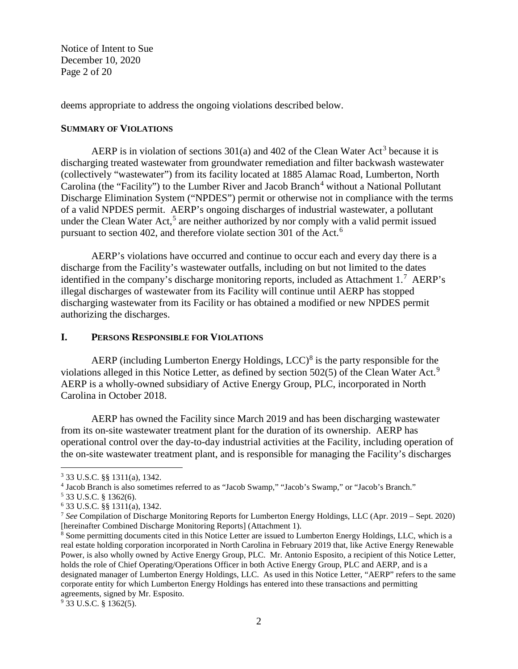Notice of Intent to Sue December 10, 2020 Page 2 of 20

deems appropriate to address the ongoing violations described below.

#### **SUMMARY OF VIOLATIONS**

AERP is in violation of sections  $301(a)$  $301(a)$  and  $402$  of the Clean Water Act<sup>3</sup> because it is discharging treated wastewater from groundwater remediation and filter backwash wastewater (collectively "wastewater") from its facility located at 1885 Alamac Road, Lumberton, North Carolina (the "Facility") to the Lumber River and Jacob Branch<sup>[4](#page-1-1)</sup> without a National Pollutant Discharge Elimination System ("NPDES") permit or otherwise not in compliance with the terms of a valid NPDES permit. AERP's ongoing discharges of industrial wastewater, a pollutant under the Clean Water Act,<sup>[5](#page-1-2)</sup> are neither authorized by nor comply with a valid permit issued pursuant to section 402, and therefore violate section 301 of the Act.<sup>[6](#page-1-3)</sup>

<span id="page-1-7"></span>AERP's violations have occurred and continue to occur each and every day there is a discharge from the Facility's wastewater outfalls, including on but not limited to the dates identified in the company's discharge monitoring reports, included as Attachment  $1.^7$  $1.^7$  AERP's illegal discharges of wastewater from its Facility will continue until AERP has stopped discharging wastewater from its Facility or has obtained a modified or new NPDES permit authorizing the discharges.

## **I. PERSONS RESPONSIBLE FOR VIOLATIONS**

AERP (including Lumberton Energy Holdings,  $LCC$ )<sup>[8](#page-1-5)</sup> is the party responsible for the violations alleged in this Notice Letter, as defined by section 502(5) of the Clean Water Act.<sup>[9](#page-1-6)</sup> AERP is a wholly-owned subsidiary of Active Energy Group, PLC, incorporated in North Carolina in October 2018.

AERP has owned the Facility since March 2019 and has been discharging wastewater from its on-site wastewater treatment plant for the duration of its ownership. AERP has operational control over the day-to-day industrial activities at the Facility, including operation of the on-site wastewater treatment plant, and is responsible for managing the Facility's discharges

<span id="page-1-0"></span><sup>3</sup> 33 U.S.C. §§ 1311(a), 1342.

<span id="page-1-1"></span><sup>4</sup> Jacob Branch is also sometimes referred to as "Jacob Swamp," "Jacob's Swamp," or "Jacob's Branch."

<span id="page-1-2"></span><sup>5</sup> 33 U.S.C. § 1362(6).

<span id="page-1-3"></span><sup>6</sup> 33 U.S.C. §§ 1311(a), 1342.

<span id="page-1-4"></span><sup>7</sup> *See* Compilation of Discharge Monitoring Reports for Lumberton Energy Holdings, LLC (Apr. 2019 – Sept. 2020) [hereinafter Combined Discharge Monitoring Reports] (Attachment 1).

<span id="page-1-5"></span><sup>8</sup> Some permitting documents cited in this Notice Letter are issued to Lumberton Energy Holdings, LLC, which is a real estate holding corporation incorporated in North Carolina in February 2019 that, like Active Energy Renewable Power, is also wholly owned by Active Energy Group, PLC. Mr. Antonio Esposito, a recipient of this Notice Letter, holds the role of Chief Operating/Operations Officer in both Active Energy Group, PLC and AERP, and is a designated manager of Lumberton Energy Holdings, LLC. As used in this Notice Letter, "AERP" refers to the same corporate entity for which Lumberton Energy Holdings has entered into these transactions and permitting agreements, signed by Mr. Esposito.

<span id="page-1-6"></span><sup>9</sup> 33 U.S.C. § 1362(5).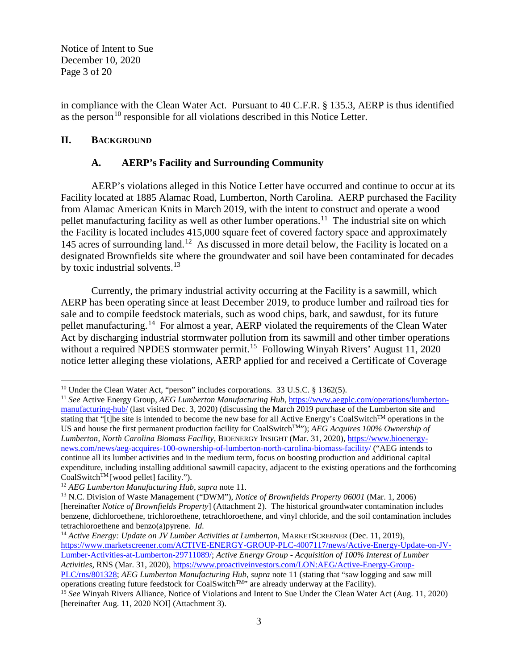Notice of Intent to Sue December 10, 2020 Page 3 of 20

in compliance with the Clean Water Act. Pursuant to 40 C.F.R. § 135.3, AERP is thus identified as the person<sup>[10](#page-2-1)</sup> responsible for all violations described in this Notice Letter.

# **II. BACKGROUND**

 $\overline{\phantom{a}}$ 

# <span id="page-2-0"></span>**A. AERP's Facility and Surrounding Community**

AERP's violations alleged in this Notice Letter have occurred and continue to occur at its Facility located at 1885 Alamac Road, Lumberton, North Carolina. AERP purchased the Facility from Alamac American Knits in March 2019, with the intent to construct and operate a wood pellet manufacturing facility as well as other lumber operations.<sup>11</sup> The industrial site on which the Facility is located includes 415,000 square feet of covered factory space and approximately 145 acres of surrounding land.<sup>12</sup> As discussed in more detail below, the Facility is located on a designated Brownfields site where the groundwater and soil have been contaminated for decades by toxic industrial solvents.<sup>[13](#page-2-4)</sup>

<span id="page-2-7"></span>Currently, the primary industrial activity occurring at the Facility is a sawmill, which AERP has been operating since at least December 2019, to produce lumber and railroad ties for sale and to compile feedstock materials, such as wood chips, bark, and sawdust, for its future pellet manufacturing.[14](#page-2-5) For almost a year, AERP violated the requirements of the Clean Water Act by discharging industrial stormwater pollution from its sawmill and other timber operations without a required NPDES stormwater permit.<sup>15</sup> Following Winyah Rivers' August 11, 2020 notice letter alleging these violations, AERP applied for and received a Certificate of Coverage

<span id="page-2-5"></span><sup>14</sup> *Active Energy: Update on JV Lumber Activities at Lumberton*, MARKETSCREENER (Dec. 11, 2019), [https://www.marketscreener.com/ACTIVE-ENERGY-GROUP-PLC-4007117/news/Active-Energy-Update-on-JV-](https://www.marketscreener.com/ACTIVE-ENERGY-GROUP-PLC-4007117/news/Active-Energy-Update-on-JV-Lumber-Activities-at-Lumberton-29711089/)[Lumber-Activities-at-Lumberton-29711089/;](https://www.marketscreener.com/ACTIVE-ENERGY-GROUP-PLC-4007117/news/Active-Energy-Update-on-JV-Lumber-Activities-at-Lumberton-29711089/) *Active Energy Group - Acquisition of 100% Interest of Lumber Activities*, RNS (Mar. 31, 2020)[, https://www.proactiveinvestors.com/LON:AEG/Active-Energy-Group-](https://www.proactiveinvestors.com/LON:AEG/Active-Energy-Group-PLC/rns/801328)

<span id="page-2-2"></span><span id="page-2-1"></span><sup>&</sup>lt;sup>10</sup> Under the Clean Water Act, "person" includes corporations. 33 U.S.C. § 1362(5).<br><sup>11</sup> *See* Active Energy Group, *AEG Lumberton Manufacturing Hub*, [https://www.aegplc.com/operations/lumberton](https://www.aegplc.com/operations/lumberton-manufacturing-hub/)[manufacturing-hub/](https://www.aegplc.com/operations/lumberton-manufacturing-hub/) (last visited Dec. 3, 2020) (discussing the March 2019 purchase of the Lumberton site and stating that "[t]he site is intended to become the new base for all Active Energy's CoalSwitch<sup>TM</sup> operations in the US and house the first permanent production facility for CoalSwitch<sup>TM</sup>"); *AEG Acquires 100% Ownership of Lumberton, North Carolina Biomass Facility*, BIOENERGY INSIGHT (Mar. 31, 2020), [https://www.bioenergy](https://www.bioenergy-news.com/news/aeg-acquires-100-ownership-of-lumberton-north-carolina-biomass-facility/)[news.com/news/aeg-acquires-100-ownership-of-lumberton-north-carolina-biomass-facility/](https://www.bioenergy-news.com/news/aeg-acquires-100-ownership-of-lumberton-north-carolina-biomass-facility/) ("AEG intends to continue all its lumber activities and in the medium term, focus on boosting production and additional capital expenditure, including installing additional sawmill capacity, adjacent to the existing operations and the forthcoming CoalSwitch<sup>TM</sup> [wood pellet] facility.").

<span id="page-2-3"></span><sup>&</sup>lt;sup>12</sup> *AEG Lumberton Manufacturing Hub*, *supra* note [11.](#page-2-0)

<span id="page-2-4"></span><sup>13</sup> N.C. Division of Waste Management ("DWM"), *Notice of Brownfields Property 06001* (Mar. 1, 2006) [hereinafter *Notice of Brownfields Property*] (Attachment 2). The historical groundwater contamination includes benzene, dichloroethene, trichloroethene, tetrachloroethene, and vinyl chloride, and the soil contamination includes tetrachloroethene and benzo(a)pyrene. *Id.*

[PLC/rns/801328;](https://www.proactiveinvestors.com/LON:AEG/Active-Energy-Group-PLC/rns/801328) *AEG Lumberton Manufacturing Hub*, *supra* note [11](#page-2-0) (stating that "saw logging and saw mill operations creating future feedstock for CoalSwitchTM" are already underway at the Facility).

<span id="page-2-6"></span><sup>15</sup> *See* Winyah Rivers Alliance, Notice of Violations and Intent to Sue Under the Clean Water Act (Aug. 11, 2020) [hereinafter Aug. 11, 2020 NOI] (Attachment 3).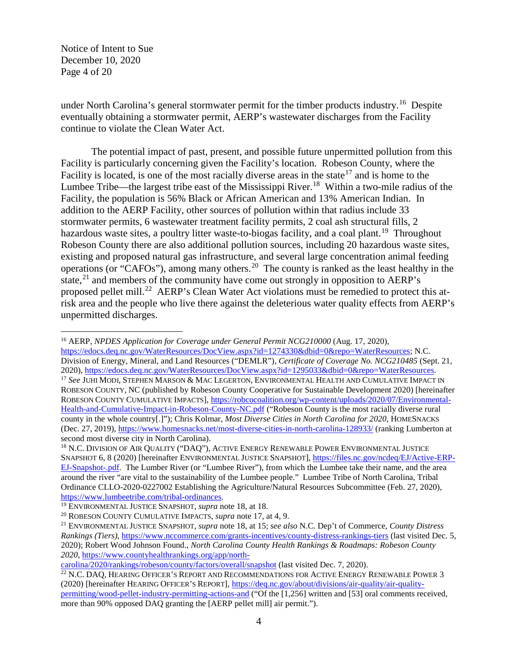Notice of Intent to Sue December 10, 2020 Page 4 of 20

under North Carolina's general stormwater permit for the timber products industry.<sup>[16](#page-3-2)</sup> Despite eventually obtaining a stormwater permit, AERP's wastewater discharges from the Facility continue to violate the Clean Water Act.

<span id="page-3-1"></span><span id="page-3-0"></span>The potential impact of past, present, and possible future unpermitted pollution from this Facility is particularly concerning given the Facility's location. Robeson County, where the Facility is located, is one of the most racially diverse areas in the state<sup>[17](#page-3-3)</sup> and is home to the Lumbee Tribe—the largest tribe east of the Mississippi River.<sup>[18](#page-3-4)</sup> Within a two-mile radius of the Facility, the population is 56% Black or African American and 13% American Indian. In addition to the AERP Facility, other sources of pollution within that radius include 33 stormwater permits, 6 wastewater treatment facility permits, 2 coal ash structural fills, 2 hazardous waste sites, a poultry litter waste-to-biogas facility, and a coal plant.<sup>[19](#page-3-5)</sup> Throughout Robeson County there are also additional pollution sources, including 20 hazardous waste sites, existing and proposed natural gas infrastructure, and several large concentration animal feeding operations (or "CAFOs"), among many others.[20](#page-3-6) The county is ranked as the least healthy in the state, $2<sup>1</sup>$  and members of the community have come out strongly in opposition to AERP's proposed pellet mill.<sup>22</sup> AERP's Clean Water Act violations must be remedied to protect this atrisk area and the people who live there against the deleterious water quality effects from AERP's unpermitted discharges.

<span id="page-3-9"></span><span id="page-3-3"></span><span id="page-3-2"></span>l <sup>16</sup> AERP, *NPDES Application for Coverage under General Permit NCG210000* (Aug. 17, 2020), [https://edocs.deq.nc.gov/WaterResources/DocView.aspx?id=1274330&dbid=0&repo=WaterResources;](https://edocs.deq.nc.gov/WaterResources/DocView.aspx?id=1274330&dbid=0&repo=WaterResources) N.C. Division of Energy, Mineral, and Land Resources ("DEMLR"), *Certificate of Coverage No. NCG210485* (Sept. 21, 2020), https://edocs.deq.nc.gov/WaterResources/DocView.aspx?id=1295033&dbid=0&repo=WaterResources. <sup>17</sup> See JUHI MODI, STEPHEN MARSON & MAC LEGERTON, ENVIRONMENTAL HEALTH AND CUMULATIVE IMPACT IN ROBESON COUNTY, NC (published by Robeson County Cooperative for Sustainable Development 2020) [hereinafter ROBESON COUNTY CUMULATIVE IMPACTS], [https://robcocoalition.org/wp-content/uploads/2020/07/Environmental-](https://robcocoalition.org/wp-content/uploads/2020/07/Environmental-Health-and-Cumulative-Impact-in-Robeson-County-NC.pdf)[Health-and-Cumulative-Impact-in-Robeson-County-NC.pdf](https://robcocoalition.org/wp-content/uploads/2020/07/Environmental-Health-and-Cumulative-Impact-in-Robeson-County-NC.pdf) ("Robeson County is the most racially diverse rural county in the whole country[.]"); Chris Kolmar, *Most Diverse Cities in North Carolina for 2020*, HOMESNACKS (Dec. 27, 2019),<https://www.homesnacks.net/most-diverse-cities-in-north-carolina-128933/> (ranking Lumberton at second most diverse city in North Carolina).

<span id="page-3-4"></span><sup>&</sup>lt;sup>18</sup> N.C. DIVISION OF AIR OUALITY ("DAQ"), ACTIVE ENERGY RENEWABLE POWER ENVIRONMENTAL JUSTICE SNAPSHOT 6, 8 (2020) [hereinafter ENVIRONMENTAL JUSTICE SNAPSHOT], [https://files.nc.gov/ncdeq/EJ/Active-ERP-](https://files.nc.gov/ncdeq/EJ/Active-ERP-EJ-Snapshot-.pdf)[EJ-Snapshot-.pdf.](https://files.nc.gov/ncdeq/EJ/Active-ERP-EJ-Snapshot-.pdf) The Lumber River (or "Lumbee River"), from which the Lumbee take their name, and the area around the river "are vital to the sustainability of the Lumbee people." Lumbee Tribe of North Carolina, Tribal Ordinance CLLO-2020-0227002 Establishing the Agriculture/Natural Resources Subcommittee (Feb. 27, 2020), [https://www.lumbeetribe.com/tribal-ordinances.](https://www.lumbeetribe.com/tribal-ordinances)

<span id="page-3-5"></span><sup>&</sup>lt;sup>19</sup> ENVIRONMENTAL JUSTICE SNAPSHOT, *supra* note [18,](#page-3-0) at 18.<br><sup>20</sup> ROBESON COUNTY CUMULATIVE IMPACTS, *supra* note 17, at 4, 9.

<span id="page-3-7"></span><span id="page-3-6"></span><sup>&</sup>lt;sup>21</sup> ENVIRONMENTAL JUSTICE SNAPSHOT, *supra* note [18,](#page-3-0) at 15; *see also* N.C. Dep't of Commerce, *County Distress Rankings (Tiers)*,<https://www.nccommerce.com/grants-incentives/county-distress-rankings-tiers> (last visited Dec. 5, 2020); Robert Wood Johnson Found., *North Carolina County Health Rankings & Roadmaps: Robeson County 2020*, [https://www.countyhealthrankings.org/app/north-](https://www.countyhealthrankings.org/app/north-carolina/2020/rankings/robeson/county/factors/overall/snapshot)

<span id="page-3-8"></span>carolina/2020/rankings/robeson/county/factors/overall/snapshot (last visited Dec. 7, 2020).<br><sup>22</sup> N.C. DAQ, HEARING OFFICER'S REPORT AND RECOMMENDATIONS FOR ACTIVE ENERGY RENEWABLE POWER 3 (2020) [hereinafter HEARING OFFICER'S REPORT], [https://deq.nc.gov/about/divisions/air-quality/air-quality](https://deq.nc.gov/about/divisions/air-quality/air-quality-permitting/wood-pellet-industry-permitting-actions-and)[permitting/wood-pellet-industry-permitting-actions-and](https://deq.nc.gov/about/divisions/air-quality/air-quality-permitting/wood-pellet-industry-permitting-actions-and) ("Of the [1,256] written and [53] oral comments received, more than 90% opposed DAQ granting the [AERP pellet mill] air permit.").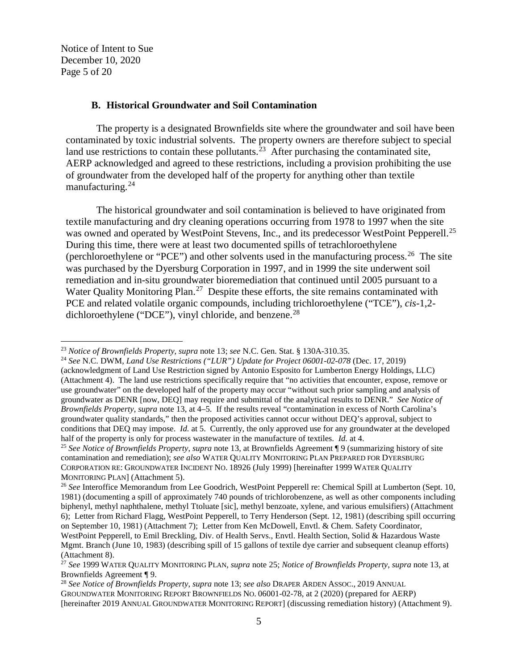Notice of Intent to Sue December 10, 2020 Page 5 of 20

<span id="page-4-7"></span>l

#### <span id="page-4-0"></span>**B. Historical Groundwater and Soil Contamination**

The property is a designated Brownfields site where the groundwater and soil have been contaminated by toxic industrial solvents. The property owners are therefore subject to special land use restrictions to contain these pollutants.<sup>[23](#page-4-1)</sup> After purchasing the contaminated site, AERP acknowledged and agreed to these restrictions, including a provision prohibiting the use of groundwater from the developed half of the property for anything other than textile manufacturing.[24](#page-4-2)

The historical groundwater and soil contamination is believed to have originated from textile manufacturing and dry cleaning operations occurring from 1978 to 1997 when the site was owned and operated by WestPoint Stevens, Inc., and its predecessor WestPoint Pepperell.<sup>[25](#page-4-3)</sup> During this time, there were at least two documented spills of tetrachloroethylene (perchloroethylene or "PCE") and other solvents used in the manufacturing process.[26](#page-4-4) The site was purchased by the Dyersburg Corporation in 1997, and in 1999 the site underwent soil remediation and in-situ groundwater bioremediation that continued until 2005 pursuant to a Water Quality Monitoring Plan.<sup>[27](#page-4-5)</sup> Despite these efforts, the site remains contaminated with PCE and related volatile organic compounds, including trichloroethylene ("TCE"), *cis*-1,2- dichloroethylene ("DCE"), vinyl chloride, and benzene.<sup>[28](#page-4-6)</sup>

<span id="page-4-1"></span><sup>23</sup> *Notice of Brownfields Property*, *supra* note [13;](#page-2-7) *see* N.C. Gen. Stat. § 130A-310.35. 24 *See* N.C. DWM, *Land Use Restrictions ("LUR") Update for Project 06001-02-078* (Dec. 17, 2019)

<span id="page-4-2"></span><sup>(</sup>acknowledgment of Land Use Restriction signed by Antonio Esposito for Lumberton Energy Holdings, LLC) (Attachment 4). The land use restrictions specifically require that "no activities that encounter, expose, remove or use groundwater" on the developed half of the property may occur "without such prior sampling and analysis of groundwater as DENR [now, DEQ] may require and submittal of the analytical results to DENR." *See Notice of Brownfields Property*, *supra* note [13,](#page-2-7) at 4–5. If the results reveal "contamination in excess of North Carolina's groundwater quality standards," then the proposed activities cannot occur without DEQ's approval, subject to conditions that DEQ may impose. *Id.* at 5. Currently, the only approved use for any groundwater at the developed half of the property is only for process was tewater in the manufacture of textiles. *Id.* at 4.

<span id="page-4-3"></span><sup>&</sup>lt;sup>25</sup> See Notice of Brownfields Property, supra not[e 13,](#page-2-7) at Brownfields Agreement  $\P$ 9 (summarizing history of site contamination and remediation); *see also* WATER QUALITY MONITORING PLAN PREPARED FOR DYERSBURG CORPORATION RE: GROUNDWATER INCIDENT NO. 18926 (July 1999) [hereinafter 1999 WATER QUALITY MONITORING PLAN] (Attachment 5).

<span id="page-4-4"></span><sup>26</sup> *See* Interoffice Memorandum from Lee Goodrich, WestPoint Pepperell re: Chemical Spill at Lumberton (Sept. 10, 1981) (documenting a spill of approximately 740 pounds of trichlorobenzene, as well as other components including biphenyl, methyl naphthalene, methyl Ttoluate [sic], methyl benzoate, xylene, and various emulsifiers) (Attachment 6); Letter from Richard Flagg, WestPoint Pepperell, to Terry Henderson (Sept. 12, 1981) (describing spill occurring on September 10, 1981) (Attachment 7); Letter from Ken McDowell, Envtl. & Chem. Safety Coordinator, WestPoint Pepperell, to Emil Breckling, Div. of Health Servs., Envtl. Health Section, Solid & Hazardous Waste Mgmt. Branch (June 10, 1983) (describing spill of 15 gallons of textile dye carrier and subsequent cleanup efforts) (Attachment 8).

<span id="page-4-5"></span><sup>27</sup> *See* 1999 WATER QUALITY MONITORING PLAN, *supra* note [25;](#page-4-0) *Notice of Brownfields Property*, *supra* not[e 13,](#page-2-7) at Brownfields Agreement ¶ 9.

<span id="page-4-6"></span><sup>28</sup> *See Notice of Brownfields Property*, *supra* not[e 13;](#page-2-7) *see also* DRAPER ARDEN ASSOC., 2019 ANNUAL GROUNDWATER MONITORING REPORT BROWNFIELDS NO. 06001-02-78, at 2 (2020) (prepared for AERP) [hereinafter 2019 ANNUAL GROUNDWATER MONITORING REPORT] (discussing remediation history) (Attachment 9).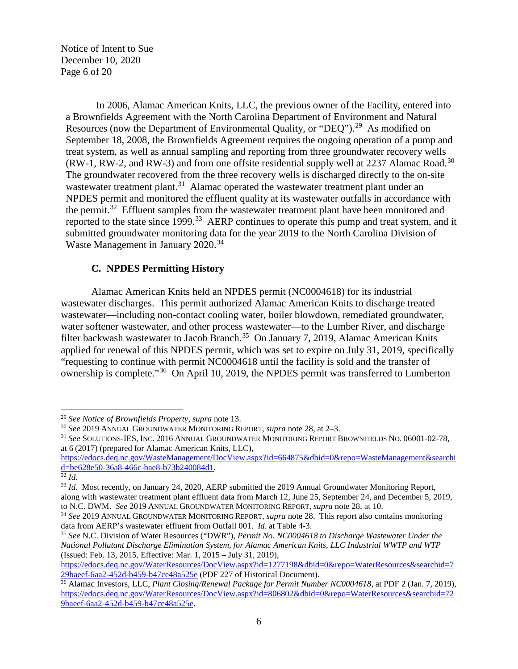Notice of Intent to Sue December 10, 2020 Page 6 of 20

In 2006, Alamac American Knits, LLC, the previous owner of the Facility, entered into a Brownfields Agreement with the North Carolina Department of Environment and Natural Resources (now the Department of Environmental Quality, or "DEQ").<sup>[29](#page-5-0)</sup> As modified on September 18, 2008, the Brownfields Agreement requires the ongoing operation of a pump and treat system, as well as annual sampling and reporting from three groundwater recovery wells  $(RW-1, RW-2, and RW-3)$  and from one offsite residential supply well at 2237 Alamac Road.<sup>[30](#page-5-1)</sup> The groundwater recovered from the three recovery wells is discharged directly to the on-site wastewater treatment plant.<sup>31</sup> Alamac operated the wastewater treatment plant under an NPDES permit and monitored the effluent quality at its wastewater outfalls in accordance with the permit.<sup>[32](#page-5-3)</sup> Effluent samples from the wastewater treatment plant have been monitored and reported to the state since 1999.<sup>[33](#page-5-4)</sup> AERP continues to operate this pump and treat system, and it submitted groundwater monitoring data for the year 2019 to the North Carolina Division of Waste Management in January 2020.<sup>[34](#page-5-5)</sup>

# **C. NPDES Permitting History**

Alamac American Knits held an NPDES permit (NC0004618) for its industrial wastewater discharges. This permit authorized Alamac American Knits to discharge treated wastewater—including non-contact cooling water, boiler blowdown, remediated groundwater, water softener wastewater, and other process wastewater—to the Lumber River, and discharge filter backwash wastewater to Jacob Branch.<sup>35</sup> On January 7, 2019, Alamac American Knits applied for renewal of this NPDES permit, which was set to expire on July 31, 2019, specifically "requesting to continue with permit NC0004618 until the facility is sold and the transfer of ownership is complete."[36](#page-5-7) On April 10, 2019, the NPDES permit was transferred to Lumberton

<span id="page-5-0"></span><sup>29</sup> *See Notice of Brownfields Property*, *supra* not[e 13.](#page-2-7)

<span id="page-5-2"></span><span id="page-5-1"></span><sup>&</sup>lt;sup>31</sup> See SOLUTIONS-IES, INC. 2016 ANNUAL GROUNDWATER MONITORING REPORT BROWNFIELDS NO. 06001-02-78, at 6 (2017) (prepared for Alamac American Knits, LLC),

[https://edocs.deq.nc.gov/WasteManagement/DocView.aspx?id=664875&dbid=0&repo=WasteManagement&searchi](https://edocs.deq.nc.gov/WasteManagement/DocView.aspx?id=664875&dbid=0&repo=WasteManagement&searchid=be628e50-36a8-466c-bae8-b73b240084d1) [d=be628e50-36a8-466c-bae8-b73b240084d1.](https://edocs.deq.nc.gov/WasteManagement/DocView.aspx?id=664875&dbid=0&repo=WasteManagement&searchid=be628e50-36a8-466c-bae8-b73b240084d1) 32 *Id.*

<span id="page-5-4"></span><span id="page-5-3"></span><sup>33</sup> *Id.* Most recently, on January 24, 2020, AERP submitted the 2019 Annual Groundwater Monitoring Report, along with wastewater treatment plant effluent data from March 12, June 25, September 24, and December 5, 2019,

<span id="page-5-5"></span>to N.C. DWM. *See* 2019 ANNUAL GROUNDWATER MONITORING REPORT, *supra* note [28,](#page-4-7) at 10.<br><sup>34</sup> *See* 2019 ANNUAL GROUNDWATER MONITORING REPORT, *supra* note [28.](#page-4-7) This report also contains monitoring data from AERP's wastewater

<span id="page-5-6"></span><sup>&</sup>lt;sup>35</sup> See N.C. Division of Water Resources ("DWR"), *Permit No. NC0004618 to Discharge Wastewater Under the National Pollutant Discharge Elimination System, for Alamac American Knits, LLC Industrial WWTP and WTP*  (Issued: Feb. 13, 2015, Effective: Mar. 1, 2015 – July 31, 2019),

[https://edocs.deq.nc.gov/WaterResources/DocView.aspx?id=1277198&dbid=0&repo=WaterResources&searchid=7](https://edocs.deq.nc.gov/WaterResources/DocView.aspx?id=1277198&dbid=0&repo=WaterResources&searchid=729baeef-6aa2-452d-b459-b47ce48a525e)<br>29baeef-6aa2-452d-b459-b47ce48a525e (PDF 227 of Historical Document).

<span id="page-5-7"></span><sup>&</sup>lt;sup>36</sup> Alamac Investors, LLC, *Plant Closing*/Renewal Package for Permit Number NC0004618, at PDF 2 (Jan. 7, 2019), [https://edocs.deq.nc.gov/WaterResources/DocView.aspx?id=806802&dbid=0&repo=WaterResources&searchid=72](https://edocs.deq.nc.gov/WaterResources/DocView.aspx?id=806802&dbid=0&repo=WaterResources&searchid=729baeef-6aa2-452d-b459-b47ce48a525e) [9baeef-6aa2-452d-b459-b47ce48a525e.](https://edocs.deq.nc.gov/WaterResources/DocView.aspx?id=806802&dbid=0&repo=WaterResources&searchid=729baeef-6aa2-452d-b459-b47ce48a525e)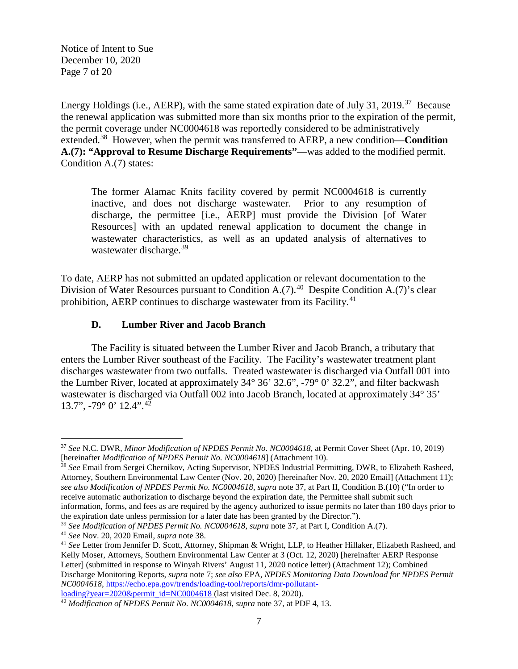Notice of Intent to Sue December 10, 2020 Page 7 of 20

<span id="page-6-1"></span>Energy Holdings (i.e., AERP), with the same stated expiration date of July 31, 2019.<sup>37</sup> Because the renewal application was submitted more than six months prior to the expiration of the permit, the permit coverage under NC0004618 was reportedly considered to be administratively extended.[38](#page-6-3) However, when the permit was transferred to AERP, a new condition—**Condition A.(7): "Approval to Resume Discharge Requirements"**—was added to the modified permit. Condition A.(7) states:

<span id="page-6-0"></span>The former Alamac Knits facility covered by permit NC0004618 is currently inactive, and does not discharge wastewater. Prior to any resumption of discharge, the permittee [i.e., AERP] must provide the Division [of Water Resources] with an updated renewal application to document the change in wastewater characteristics, as well as an updated analysis of alternatives to wastewater discharge.<sup>[39](#page-6-4)</sup>

To date, AERP has not submitted an updated application or relevant documentation to the Division of Water Resources pursuant to Condition A.(7).<sup>40</sup> Despite Condition A.(7)'s clear prohibition, AERP continues to discharge wastewater from its Facility.<sup>[41](#page-6-6)</sup>

## <span id="page-6-8"></span>**D. Lumber River and Jacob Branch**

The Facility is situated between the Lumber River and Jacob Branch, a tributary that enters the Lumber River southeast of the Facility. The Facility's wastewater treatment plant discharges wastewater from two outfalls. Treated wastewater is discharged via Outfall 001 into the Lumber River, located at approximately 34° 36' 32.6", -79° 0' 32.2", and filter backwash wastewater is discharged via Outfall 002 into Jacob Branch, located at approximately 34° 35' 13.7",  $-79^{\circ}$  0' 12.4".<sup>[42](#page-6-7)</sup>

<span id="page-6-3"></span>Attorney, Southern Environmental Law Center (Nov. 20, 2020) [hereinafter Nov. 20, 2020 Email] (Attachment 11); *see also Modification of NPDES Permit No. NC0004618*, *supra* note [37,](#page-6-0) at Part II, Condition B.(10) ("In order to receive automatic authorization to discharge beyond the expiration date, the Permittee shall submit such information, forms, and fees as are required by the agency authorized to issue permits no later than 180 days prior to the expiration date unless permission for a later date has been granted by the Director.").

<span id="page-6-5"></span>

 $\overline{\phantom{a}}$ 

<span id="page-6-2"></span><sup>37</sup> *See* N.C. DWR, *Minor Modification of NPDES Permit No. NC0004618*, at Permit Cover Sheet (Apr. 10, 2019) [hereinafter *Modification of NPDES Permit No. NC0004618*] (Attachment 10). 38 *See* Email from Sergei Chernikov, Acting Supervisor, NPDES Industrial Permitting, DWR, to Elizabeth Rasheed,

<span id="page-6-4"></span><sup>&</sup>lt;sup>39</sup> See Modification of NPDES Permit No. NC0004618, *supra* note [37,](#page-6-0) at Part I, Condition A.(7).<br><sup>40</sup> See Nov. 20, 2020 Email, *supra* note 38.

<span id="page-6-6"></span><sup>&</sup>lt;sup>41</sup> See Letter from Jennifer D. Scott, Attorney, Shipman & Wright, LLP, to Heather Hillaker, Elizabeth Rasheed, and Kelly Moser, Attorneys, Southern Environmental Law Center at 3 (Oct. 12, 2020) [hereinafter AERP Response Letter] (submitted in response to Winyah Rivers' August 11, 2020 notice letter) (Attachment 12); Combined Discharge Monitoring Reports, *supra* note [7;](#page-1-7) *see also* EPA, *NPDES Monitoring Data Download for NPDES Permit NC0004618*, [https://echo.epa.gov/trends/loading-tool/reports/dmr-pollutant-](https://echo.epa.gov/trends/loading-tool/reports/dmr-pollutant-loading?year=2020&permit_id=NC0004618)

<span id="page-6-7"></span>loading?year=2020&permit\_id=NC0004618 (last visited Dec. 8, 2020). 42 *Modification of NPDES Permit No. NC0004618*, *supra* note [37,](#page-6-0) at PDF 4, 13.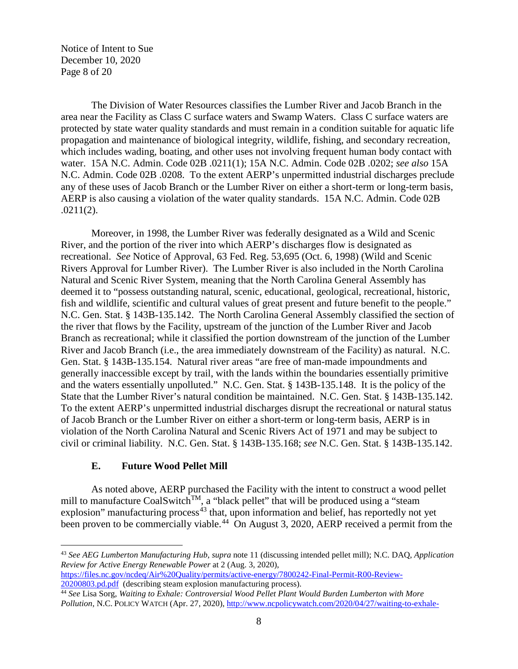Notice of Intent to Sue December 10, 2020 Page 8 of 20

The Division of Water Resources classifies the Lumber River and Jacob Branch in the area near the Facility as Class C surface waters and Swamp Waters. Class C surface waters are protected by state water quality standards and must remain in a condition suitable for aquatic life propagation and maintenance of biological integrity, wildlife, fishing, and secondary recreation, which includes wading, boating, and other uses not involving frequent human body contact with water. 15A N.C. Admin. Code 02B .0211(1); 15A N.C. Admin. Code 02B .0202; *see also* 15A N.C. Admin. Code 02B .0208. To the extent AERP's unpermitted industrial discharges preclude any of these uses of Jacob Branch or the Lumber River on either a short-term or long-term basis, AERP is also causing a violation of the water quality standards. 15A N.C. Admin. Code 02B .0211(2).

Moreover, in 1998, the Lumber River was federally designated as a Wild and Scenic River, and the portion of the river into which AERP's discharges flow is designated as recreational. *See* Notice of Approval, 63 Fed. Reg. 53,695 (Oct. 6, 1998) (Wild and Scenic Rivers Approval for Lumber River). The Lumber River is also included in the North Carolina Natural and Scenic River System, meaning that the North Carolina General Assembly has deemed it to "possess outstanding natural, scenic, educational, geological, recreational, historic, fish and wildlife, scientific and cultural values of great present and future benefit to the people." N.C. Gen. Stat. § 143B-135.142. The North Carolina General Assembly classified the section of the river that flows by the Facility, upstream of the junction of the Lumber River and Jacob Branch as recreational; while it classified the portion downstream of the junction of the Lumber River and Jacob Branch (i.e., the area immediately downstream of the Facility) as natural. N.C. Gen. Stat. § 143B-135.154. Natural river areas "are free of man-made impoundments and generally inaccessible except by trail, with the lands within the boundaries essentially primitive and the waters essentially unpolluted." N.C. Gen. Stat. § 143B-135.148. It is the policy of the State that the Lumber River's natural condition be maintained. N.C. Gen. Stat. § 143B-135.142. To the extent AERP's unpermitted industrial discharges disrupt the recreational or natural status of Jacob Branch or the Lumber River on either a short-term or long-term basis, AERP is in violation of the North Carolina Natural and Scenic Rivers Act of 1971 and may be subject to civil or criminal liability. N.C. Gen. Stat. § 143B-135.168; *see* N.C. Gen. Stat. § 143B-135.142.

#### <span id="page-7-2"></span>**E. Future Wood Pellet Mill**

 $\overline{a}$ 

As noted above, AERP purchased the Facility with the intent to construct a wood pellet mill to manufacture CoalSwitch<sup>TM</sup>, a "black pellet" that will be produced using a "steam explosion" manufacturing process $43$  that, upon information and belief, has reportedly not yet been proven to be commercially viable.<sup>44</sup> On August 3, 2020, AERP received a permit from the

<span id="page-7-0"></span><sup>43</sup> *See AEG Lumberton Manufacturing Hub*, *supra* note [11](#page-2-0) (discussing intended pellet mill); N.C. DAQ, *Application Review for Active Energy Renewable Power* at 2 (Aug. 3, 2020), [https://files.nc.gov/ncdeq/Air%20Quality/permits/active-energy/7800242-Final-Permit-R00-Review-](https://files.nc.gov/ncdeq/Air%20Quality/permits/active-energy/7800242-Final-Permit-R00-Review-20200803.pd.pdf)

[<sup>20200803.</sup>pd.pdf](https://files.nc.gov/ncdeq/Air%20Quality/permits/active-energy/7800242-Final-Permit-R00-Review-20200803.pd.pdf) (describing steam explosion manufacturing process). 44 *See* Lisa Sorg, *Waiting to Exhale: Controversial Wood Pellet Plant Would Burden Lumberton with More* 

<span id="page-7-1"></span>*Pollution*, N.C. POLICY WATCH (Apr. 27, 2020), [http://www.ncpolicywatch.com/2020/04/27/waiting-to-exhale-](http://www.ncpolicywatch.com/2020/04/27/waiting-to-exhale-controversial-wood-pellet-plant-would-burden-lumberton-with-more-pollution/)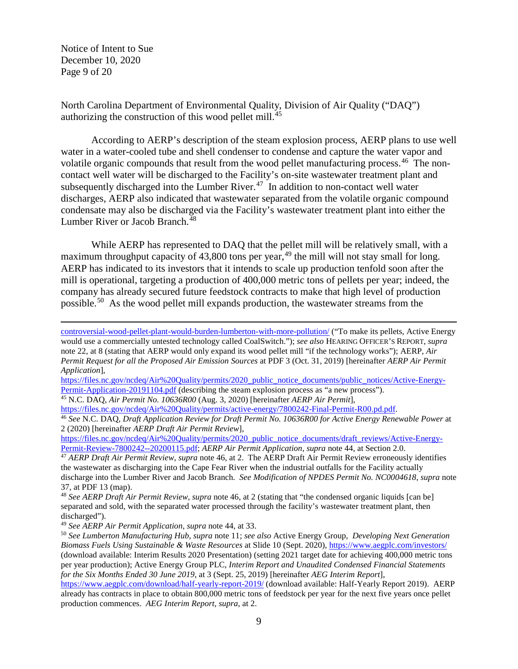Notice of Intent to Sue December 10, 2020 Page 9 of 20

 $\overline{\phantom{a}}$ 

<span id="page-8-7"></span>North Carolina Department of Environmental Quality, Division of Air Quality ("DAQ") authorizing the construction of this wood pellet mill.[45](#page-8-1)

<span id="page-8-0"></span>According to AERP's description of the steam explosion process, AERP plans to use well water in a water-cooled tube and shell condenser to condense and capture the water vapor and volatile organic compounds that result from the wood pellet manufacturing process.<sup>46</sup> The noncontact well water will be discharged to the Facility's on-site wastewater treatment plant and subsequently discharged into the Lumber River.<sup>[47](#page-8-3)</sup> In addition to non-contact well water discharges, AERP also indicated that wastewater separated from the volatile organic compound condensate may also be discharged via the Facility's wastewater treatment plant into either the Lumber River or Jacob Branch. [48](#page-8-4)

While AERP has represented to DAQ that the pellet mill will be relatively small, with a maximum throughput capacity of  $43,800$  tons per year, <sup>[49](#page-8-5)</sup> the mill will not stay small for long. AERP has indicated to its investors that it intends to scale up production tenfold soon after the mill is operational, targeting a production of 400,000 metric tons of pellets per year; indeed, the company has already secured future feedstock contracts to make that high level of production possible.[50](#page-8-6) As the wood pellet mill expands production, the wastewater streams from the

[controversial-wood-pellet-plant-would-burden-lumberton-with-more-pollution/](http://www.ncpolicywatch.com/2020/04/27/waiting-to-exhale-controversial-wood-pellet-plant-would-burden-lumberton-with-more-pollution/) ("To make its pellets, Active Energy would use a commercially untested technology called CoalSwitch."); *see also* HEARING OFFICER'S REPORT, *supra*  not[e 22,](#page-3-9) at 8 (stating that AERP would only expand its wood pellet mill "if the technology works"); AERP, *Air Permit Request for all the Proposed Air Emission Sources* at PDF 3 (Oct. 31, 2019) [hereinafter *AERP Air Permit Application*],

https://files.nc.gov/ncdeq/Air%20Quality/permits/2020\_public\_notice\_documents/public\_notices/Active-Energy-<br>Permit-Application-20191104.pdf (describing the steam explosion process as "a new process").

<span id="page-8-1"></span><sup>45</sup> N.C. DAQ, *Air Permit No. 10636R00* [\(](https://files.nc.gov/ncdeq/Air%20Quality/permits/2020_public_notice_documents/public_notices/Active-Energy-Permit-Application-20191104.pdf)Aug. 3, 2020) [hereinafter *AERP Air Permit*],

[https://files.nc.gov/ncdeq/Air%20Quality/permits/active-energy/7800242-Final-Permit-R00.pd.pdf.](https://files.nc.gov/ncdeq/Air%20Quality/permits/active-energy/7800242-Final-Permit-R00.pd.pdf)

<span id="page-8-2"></span><sup>46</sup> *See* N.C. DAQ, *Draft Application Review for Draft Permit No. 10636R00 for Active Energy Renewable Power* at 2 (2020) [hereinafter *AERP Draft Air Permit Review*],

[https://files.nc.gov/ncdeq/Air%20Quality/permits/2020\\_public\\_notice\\_documents/draft\\_reviews/Active-Energy-](https://files.nc.gov/ncdeq/Air%20Quality/permits/2020_public_notice_documents/draft_reviews/Active-Energy-Permit-Review-7800242--20200115.pdf)

<span id="page-8-3"></span>[Permit-Review-7800242--20200115.pdf;](https://files.nc.gov/ncdeq/Air%20Quality/permits/2020_public_notice_documents/draft_reviews/Active-Energy-Permit-Review-7800242--20200115.pdf) AERP Air Permit Application, supra note [44,](#page-7-2) at Section 2.0.<br><sup>47</sup> AERP Draft Air Permit Review, supra note [46,](#page-8-0) at 2. The AERP Draft Air Permit Review erroneously identifies the wastewater as discharging into the Cape Fear River when the industrial outfalls for the Facility actually discharge into the Lumber River and Jacob Branch. *See Modification of NPDES Permit No. NC0004618*, *supra* note [37,](#page-6-0) at PDF 13 (map).

<span id="page-8-4"></span><sup>48</sup> *See AERP Draft Air Permit Review*, *supra* note [46,](#page-8-0) at 2 (stating that "the condensed organic liquids [can be] separated and sold, with the separated water processed through the facility's wastewater treatment plant, then discharged").

<span id="page-8-5"></span><sup>49</sup> *See AERP Air Permit Application*, *supra* note [44,](#page-7-2) at 33.

<span id="page-8-6"></span><sup>50</sup> *See Lumberton Manufacturing Hub*, *supra* note [11;](#page-2-0) *see also* Active Energy Group, *Developing Next Generation Biomass Fuels Using Sustainable & Waste Resources* at Slide 10 (Sept. 2020),<https://www.aegplc.com/investors/> (download available: Interim Results 2020 Presentation) (setting 2021 target date for achieving 400,000 metric tons per year production); Active Energy Group PLC, *Interim Report and Unaudited Condensed Financial Statements for the Six Months Ended 30 June 2019*, at 3 (Sept. 25, 2019) [hereinafter *AEG Interim Report*],

<https://www.aegplc.com/download/half-yearly-report-2019/> (download available: Half-Yearly Report 2019). AERP already has contracts in place to obtain 800,000 metric tons of feedstock per year for the next five years once pellet production commences. *AEG Interim Report*, *supra*, at 2.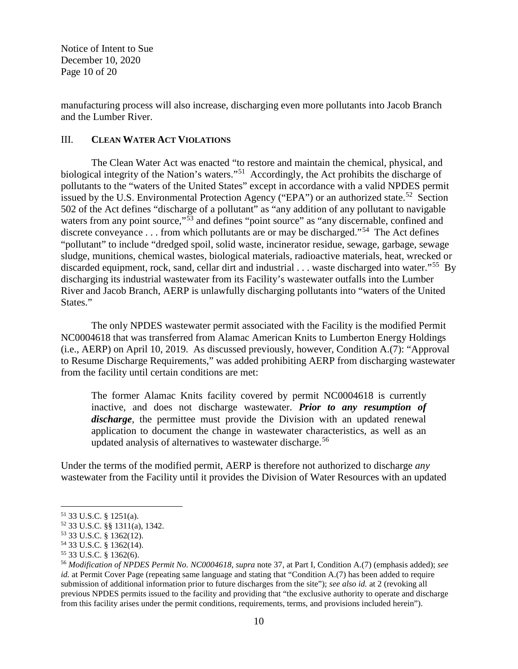Notice of Intent to Sue December 10, 2020 Page 10 of 20

manufacturing process will also increase, discharging even more pollutants into Jacob Branch and the Lumber River.

## III. **CLEAN WATER ACT VIOLATIONS**

The Clean Water Act was enacted "to restore and maintain the chemical, physical, and biological integrity of the Nation's waters."<sup>[51](#page-9-0)</sup> Accordingly, the Act prohibits the discharge of pollutants to the "waters of the United States" except in accordance with a valid NPDES permit issued by the U.S. Environmental Protection Agency ("EPA") or an authorized state.<sup>52</sup> Section 502 of the Act defines "discharge of a pollutant" as "any addition of any pollutant to navigable waters from any point source,"<sup>[53](#page-9-2)</sup> and defines "point source" as "any discernable, confined and discrete conveyance . . . from which pollutants are or may be discharged."<sup>54</sup> The Act defines "pollutant" to include "dredged spoil, solid waste, incinerator residue, sewage, garbage, sewage sludge, munitions, chemical wastes, biological materials, radioactive materials, heat, wrecked or discarded equipment, rock, sand, cellar dirt and industrial . . . waste discharged into water."<sup>[55](#page-9-4)</sup> By discharging its industrial wastewater from its Facility's wastewater outfalls into the Lumber River and Jacob Branch, AERP is unlawfully discharging pollutants into "waters of the United States."

The only NPDES wastewater permit associated with the Facility is the modified Permit NC0004618 that was transferred from Alamac American Knits to Lumberton Energy Holdings (i.e., AERP) on April 10, 2019. As discussed previously, however, Condition A.(7): "Approval to Resume Discharge Requirements," was added prohibiting AERP from discharging wastewater from the facility until certain conditions are met:

The former Alamac Knits facility covered by permit NC0004618 is currently inactive, and does not discharge wastewater. *Prior to any resumption of discharge*, the permittee must provide the Division with an updated renewal application to document the change in wastewater characteristics, as well as an updated analysis of alternatives to wastewater discharge. [56](#page-9-5)

Under the terms of the modified permit, AERP is therefore not authorized to discharge *any* wastewater from the Facility until it provides the Division of Water Resources with an updated

<span id="page-9-1"></span><span id="page-9-0"></span><sup>51 33</sup> U.S.C. § 1251(a).<br><sup>52</sup> 33 U.S.C. §§ 1311(a), 1342.<br><sup>53</sup> 33 U.S.C. § 1362(12).<br><sup>54</sup> 33 U.S.C. § 1362(14).

<span id="page-9-2"></span>

<span id="page-9-5"></span><span id="page-9-4"></span><span id="page-9-3"></span><sup>54</sup> 33 U.S.C. § 1362(14). 55 33 U.S.C. § 1362(6). 56 *Modification of NPDES Permit No. NC0004618*, *supra* note [37,](#page-6-0) at Part I, Condition A.(7) (emphasis added); *see id.* at Permit Cover Page (repeating same language and stating that "Condition A.(7) has been added to require submission of additional information prior to future discharges from the site"); *see also id.* at 2 (revoking all previous NPDES permits issued to the facility and providing that "the exclusive authority to operate and discharge from this facility arises under the permit conditions, requirements, terms, and provisions included herein").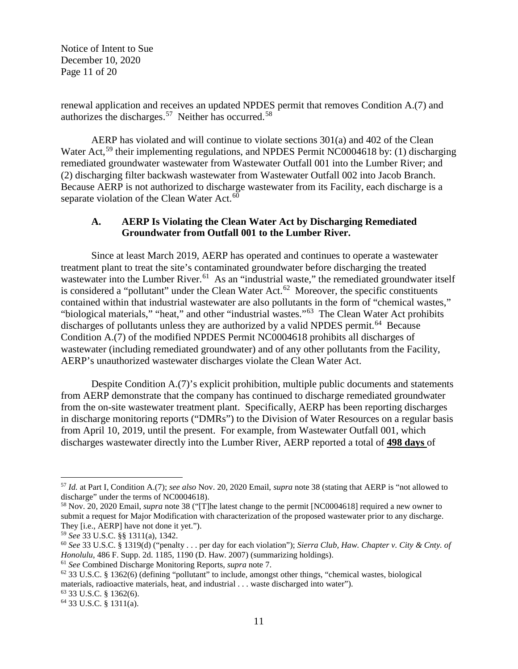Notice of Intent to Sue December 10, 2020 Page 11 of 20

renewal application and receives an updated NPDES permit that removes Condition A.(7) and authorizes the discharges.[57](#page-10-0) Neither has occurred.[58](#page-10-1)

AERP has violated and will continue to violate sections 301(a) and 402 of the Clean Water Act,<sup>[59](#page-10-2)</sup> their implementing regulations, and NPDES Permit NC0004618 by: (1) discharging remediated groundwater wastewater from Wastewater Outfall 001 into the Lumber River; and (2) discharging filter backwash wastewater from Wastewater Outfall 002 into Jacob Branch. Because AERP is not authorized to discharge wastewater from its Facility, each discharge is a separate violation of the Clean Water Act.<sup>60</sup>

## **A. AERP Is Violating the Clean Water Act by Discharging Remediated Groundwater from Outfall 001 to the Lumber River.**

Since at least March 2019, AERP has operated and continues to operate a wastewater treatment plant to treat the site's contaminated groundwater before discharging the treated wastewater into the Lumber River.<sup>61</sup> As an "industrial waste," the remediated groundwater itself is considered a "pollutant" under the Clean Water Act.<sup>62</sup> Moreover, the specific constituents contained within that industrial wastewater are also pollutants in the form of "chemical wastes," "biological materials," "heat," and other "industrial wastes."[63](#page-10-6) The Clean Water Act prohibits discharges of pollutants unless they are authorized by a valid NPDES permit.<sup>[64](#page-10-7)</sup> Because Condition A.(7) of the modified NPDES Permit NC0004618 prohibits all discharges of wastewater (including remediated groundwater) and of any other pollutants from the Facility, AERP's unauthorized wastewater discharges violate the Clean Water Act.

Despite Condition A.(7)'s explicit prohibition, multiple public documents and statements from AERP demonstrate that the company has continued to discharge remediated groundwater from the on-site wastewater treatment plant. Specifically, AERP has been reporting discharges in discharge monitoring reports ("DMRs") to the Division of Water Resources on a regular basis from April 10, 2019, until the present. For example, from Wastewater Outfall 001, which discharges wastewater directly into the Lumber River, AERP reported a total of **498 days** of

<span id="page-10-0"></span><sup>57</sup> *Id.* at Part I, Condition A.(7); *see also* Nov. 20, 2020 Email, *supra* note [38](#page-6-1) (stating that AERP is "not allowed to discharge" under the terms of NC0004618).

<span id="page-10-1"></span><sup>58</sup> Nov. 20, 2020 Email, *supra* not[e 38](#page-6-1) ("[T]he latest change to the permit [NC0004618] required a new owner to submit a request for Major Modification with characterization of the proposed wastewater prior to any discharge. They [i.e., AERP] have not done it yet.").

<span id="page-10-2"></span><sup>59</sup> *See* 33 U.S.C. §§ 1311(a), 1342.

<span id="page-10-3"></span><sup>60</sup> *See* 33 U.S.C. § 1319(d) ("penalty . . . per day for each violation"); *Sierra Club, Haw. Chapter v. City & Cnty. of Honolulu*, 486 F. Supp. 2d. 1185, 1190 (D. Haw. 2007) (summarizing holdings). 61 *See* Combined Discharge Monitoring Reports, *supra* not[e 7.](#page-1-7)

<span id="page-10-5"></span><span id="page-10-4"></span><sup>62</sup> 33 U.S.C. § 1362(6) (defining "pollutant" to include, amongst other things, "chemical wastes, biological materials, radioactive materials, heat, and industrial . . . waste discharged into water").<br><sup>63</sup> 33 U.S.C. § 1362(6).<br><sup>64</sup> 33 U.S.C. § 1311(a).

<span id="page-10-6"></span>

<span id="page-10-7"></span>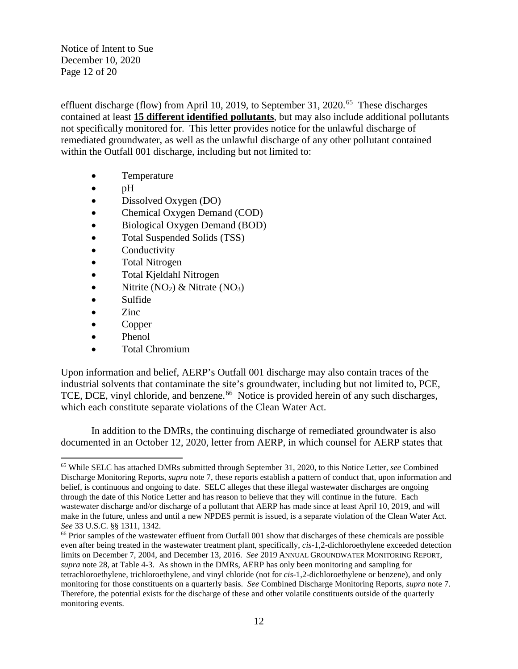Notice of Intent to Sue December 10, 2020 Page 12 of 20

effluent discharge (flow) from April 10, 2019, to September 31, 2020.<sup>[65](#page-11-0)</sup> These discharges contained at least **15 different identified pollutants**, but may also include additional pollutants not specifically monitored for. This letter provides notice for the unlawful discharge of remediated groundwater, as well as the unlawful discharge of any other pollutant contained within the Outfall 001 discharge, including but not limited to:

- Temperature
- pH
- Dissolved Oxygen (DO)
- Chemical Oxygen Demand (COD)
- Biological Oxygen Demand (BOD)
- Total Suspended Solids (TSS)
- **Conductivity**
- Total Nitrogen
- Total Kjeldahl Nitrogen
- Nitrite  $(NO_2)$  & Nitrate  $(NO_3)$
- Sulfide
- Zinc
- Copper
- Phenol
- Total Chromium

Upon information and belief, AERP's Outfall 001 discharge may also contain traces of the industrial solvents that contaminate the site's groundwater, including but not limited to, PCE, TCE, DCE, vinyl chloride, and benzene.<sup>[66](#page-11-1)</sup> Notice is provided herein of any such discharges, which each constitute separate violations of the Clean Water Act.

In addition to the DMRs, the continuing discharge of remediated groundwater is also documented in an October 12, 2020, letter from AERP, in which counsel for AERP states that

<span id="page-11-0"></span>l <sup>65</sup> While SELC has attached DMRs submitted through September 31, 2020, to this Notice Letter, *see* Combined Discharge Monitoring Reports, *supra* note [7,](#page-1-7) these reports establish a pattern of conduct that, upon information and belief, is continuous and ongoing to date. SELC alleges that these illegal wastewater discharges are ongoing through the date of this Notice Letter and has reason to believe that they will continue in the future. Each wastewater discharge and/or discharge of a pollutant that AERP has made since at least April 10, 2019, and will make in the future, unless and until a new NPDES permit is issued, is a separate violation of the Clean Water Act.<br>See 33 U.S.C. §§ 1311, 1342.

<span id="page-11-1"></span><sup>&</sup>lt;sup>66</sup> Prior samples of the wastewater effluent from Outfall 001 show that discharges of these chemicals are possible even after being treated in the wastewater treatment plant, specifically, *cis*-1,2-dichloroethylene exceeded detection limits on December 7, 2004, and December 13, 2016. *See* 2019 ANNUAL GROUNDWATER MONITORING REPORT, *supra* note [28,](#page-4-7) at Table 4-3. As shown in the DMRs, AERP has only been monitoring and sampling for tetrachloroethylene, trichloroethylene, and vinyl chloride (not for *cis*-1,2-dichloroethylene or benzene), and only monitoring for those constituents on a quarterly basis. *See* Combined Discharge Monitoring Reports, *supra* note [7.](#page-1-7)  Therefore, the potential exists for the discharge of these and other volatile constituents outside of the quarterly monitoring events.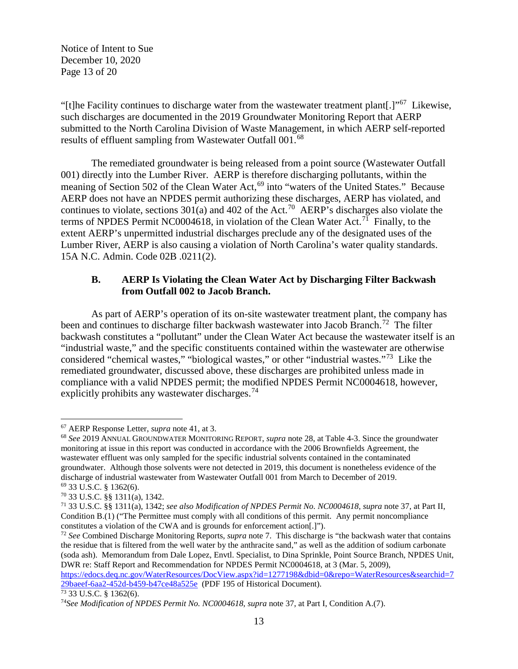Notice of Intent to Sue December 10, 2020 Page 13 of 20

"[t]he Facility continues to discharge water from the wastewater treatment plant[.]"[67](#page-12-0) Likewise, such discharges are documented in the 2019 Groundwater Monitoring Report that AERP submitted to the North Carolina Division of Waste Management, in which AERP self-reported results of effluent sampling from Wastewater Outfall 001.<sup>[68](#page-12-1)</sup>

The remediated groundwater is being released from a point source (Wastewater Outfall 001) directly into the Lumber River. AERP is therefore discharging pollutants, within the meaning of Section 502 of the Clean Water Act,<sup>[69](#page-12-2)</sup> into "waters of the United States." Because AERP does not have an NPDES permit authorizing these discharges, AERP has violated, and continues to violate, sections  $301(a)$  and  $402$  of the Act.<sup>70</sup> AERP's discharges also violate the terms of NPDES Permit NC0004618, in violation of the Clean Water Act.<sup>[71](#page-12-4)</sup> Finally, to the extent AERP's unpermitted industrial discharges preclude any of the designated uses of the Lumber River, AERP is also causing a violation of North Carolina's water quality standards. 15A N.C. Admin. Code 02B .0211(2).

## **B. AERP Is Violating the Clean Water Act by Discharging Filter Backwash from Outfall 002 to Jacob Branch.**

As part of AERP's operation of its on-site wastewater treatment plant, the company has been and continues to discharge filter backwash wastewater into Jacob Branch.<sup>[72](#page-12-5)</sup> The filter backwash constitutes a "pollutant" under the Clean Water Act because the wastewater itself is an "industrial waste," and the specific constituents contained within the wastewater are otherwise considered "chemical wastes," "biological wastes," or other "industrial wastes."[73](#page-12-6) Like the remediated groundwater, discussed above, these discharges are prohibited unless made in compliance with a valid NPDES permit; the modified NPDES Permit NC0004618, however, explicitly prohibits any wastewater discharges.<sup>[74](#page-12-7)</sup>

<span id="page-12-1"></span><span id="page-12-0"></span><sup>&</sup>lt;sup>67</sup> AERP Response Letter, *supra* note [41,](#page-6-8) at 3.<br><sup>68</sup> *See* 2019 ANNUAL GROUNDWATER MONITORING REPORT, *supra* note [28,](#page-4-7) at Table 4-3. Since the groundwater monitoring at issue in this report was conducted in accordance with the 2006 Brownfields Agreement, the wastewater effluent was only sampled for the specific industrial solvents contained in the contaminated groundwater. Although those solvents were not detected in 2019, this document is nonetheless evidence of the discharge of industrial wastewater from Wastewater Outfall 001 from March to December of 2019.

<span id="page-12-4"></span><span id="page-12-3"></span>

<span id="page-12-2"></span><sup>69</sup> 33 U.S.C. § 1362(6). 70 33 U.S.C. §§ 1311(a), 1342. 71 33 U.S.C. §§ 1311(a), 1342; *see also Modification of NPDES Permit No. NC0004618*, *supra* note [37,](#page-6-0) at Part II, Condition B.(1) ("The Permittee must comply with all conditions of this permit. Any permit noncompliance constitutes a violation of the CWA and is grounds for enforcement action[.]").

<span id="page-12-5"></span><sup>72</sup> *See* Combined Discharge Monitoring Reports, *supra* not[e 7.](#page-1-7) This discharge is "the backwash water that contains the residue that is filtered from the well water by the anthracite sand," as well as the addition of sodium carbonate (soda ash). Memorandum from Dale Lopez, Envtl. Specialist, to Dina Sprinkle, Point Source Branch, NPDES Unit, DWR re: Staff Report and Recommendation for NPDES Permit NC0004618, at 3 (Mar. 5, 2009),

[https://edocs.deq.nc.gov/WaterResources/DocView.aspx?id=1277198&dbid=0&repo=WaterResources&searchid=7](https://edocs.deq.nc.gov/WaterResources/DocView.aspx?id=1277198&dbid=0&repo=WaterResources&searchid=729baeef-6aa2-452d-b459-b47ce48a525e)<br>29baeef-6aa2-452d-b459-b47ce48a525e (PDF 195 of Historical Document).

<span id="page-12-7"></span><span id="page-12-6"></span><sup>29</sup>bacci-baaz-452d-b499-b47ce48a222 (PDF 195 of Historical Document). 73<br><sup>73</sup> 33 U.S.C. § 1362(6). <sup>74</sup>See Modification of NPDES Permit No. NC0004618, *supra* not[e 37,](#page-6-0) at Part I, Condition A.(7).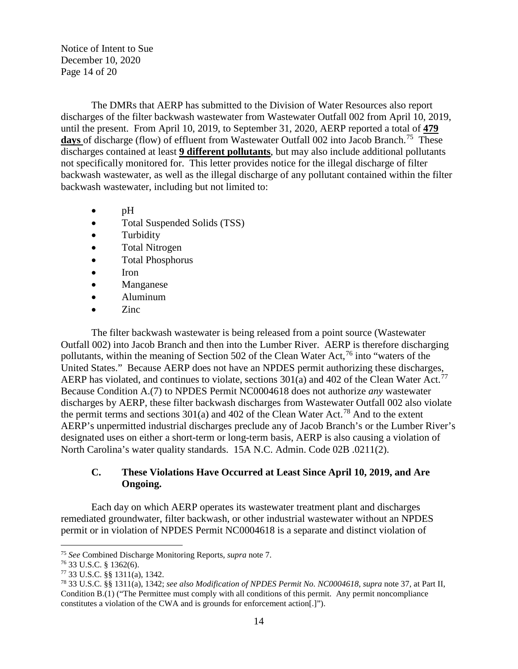Notice of Intent to Sue December 10, 2020 Page 14 of 20

The DMRs that AERP has submitted to the Division of Water Resources also report discharges of the filter backwash wastewater from Wastewater Outfall 002 from April 10, 2019, until the present. From April 10, 2019, to September 31, 2020, AERP reported a total of **479** days of discharge (flow) of effluent from Wastewater Outfall 002 into Jacob Branch.<sup>75</sup> These discharges contained at least **9 different pollutants**, but may also include additional pollutants not specifically monitored for. This letter provides notice for the illegal discharge of filter backwash wastewater, as well as the illegal discharge of any pollutant contained within the filter backwash wastewater, including but not limited to:

- $\bullet$  pH
- Total Suspended Solids (TSS)
- Turbidity
- Total Nitrogen
- Total Phosphorus
- Iron
- Manganese
- Aluminum
- Zinc

The filter backwash wastewater is being released from a point source (Wastewater Outfall 002) into Jacob Branch and then into the Lumber River. AERP is therefore discharging pollutants, within the meaning of Section 502 of the Clean Water Act,  $^{76}$  $^{76}$  $^{76}$  into "waters of the United States." Because AERP does not have an NPDES permit authorizing these discharges, AERP has violated, and continues to violate, sections  $301(a)$  and  $402$  of the Clean Water Act.<sup>77</sup> Because Condition A.(7) to NPDES Permit NC0004618 does not authorize *any* wastewater discharges by AERP, these filter backwash discharges from Wastewater Outfall 002 also violate the permit terms and sections  $301(a)$  and  $402$  of the Clean Water Act.<sup>[78](#page-13-3)</sup> And to the extent AERP's unpermitted industrial discharges preclude any of Jacob Branch's or the Lumber River's designated uses on either a short-term or long-term basis, AERP is also causing a violation of North Carolina's water quality standards. 15A N.C. Admin. Code 02B .0211(2).

# **C. These Violations Have Occurred at Least Since April 10, 2019, and Are Ongoing.**

Each day on which AERP operates its wastewater treatment plant and discharges remediated groundwater, filter backwash, or other industrial wastewater without an NPDES permit or in violation of NPDES Permit NC0004618 is a separate and distinct violation of

 $\overline{a}$ 

<span id="page-13-0"></span><sup>75</sup> *See* Combined Discharge Monitoring Reports, *supra* not[e 7.](#page-1-7)

<span id="page-13-1"></span> $76$  33 U.S.C. § 1362(6).

<span id="page-13-2"></span><sup>77</sup> 33 U.S.C. §§ 1311(a), 1342.

<span id="page-13-3"></span><sup>78</sup> 33 U.S.C. §§ 1311(a), 1342; *see also Modification of NPDES Permit No. NC0004618*, *supra* note [37,](#page-6-0) at Part II, Condition B.(1) ("The Permittee must comply with all conditions of this permit. Any permit noncompliance constitutes a violation of the CWA and is grounds for enforcement action[.]").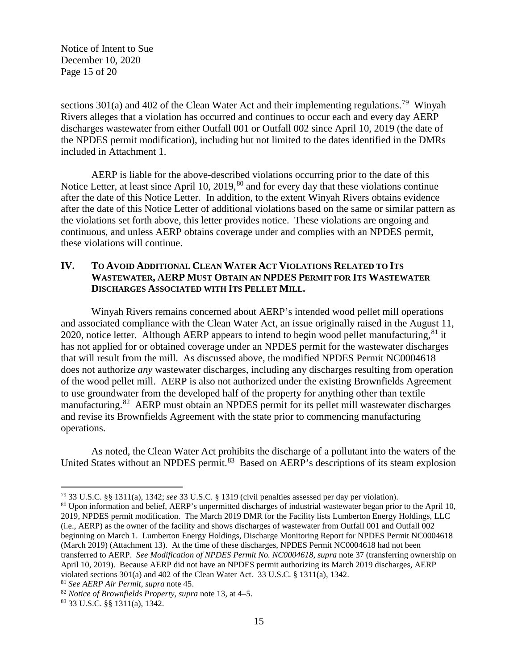Notice of Intent to Sue December 10, 2020 Page 15 of 20

sections 301(a) and 402 of the Clean Water Act and their implementing regulations.<sup>79</sup> Winyah Rivers alleges that a violation has occurred and continues to occur each and every day AERP discharges wastewater from either Outfall 001 or Outfall 002 since April 10, 2019 (the date of the NPDES permit modification), including but not limited to the dates identified in the DMRs included in Attachment 1.

AERP is liable for the above-described violations occurring prior to the date of this Notice Letter, at least since April 10, 2019, $80$  and for every day that these violations continue after the date of this Notice Letter. In addition, to the extent Winyah Rivers obtains evidence after the date of this Notice Letter of additional violations based on the same or similar pattern as the violations set forth above, this letter provides notice. These violations are ongoing and continuous, and unless AERP obtains coverage under and complies with an NPDES permit, these violations will continue.

## **IV. TO AVOID ADDITIONAL CLEAN WATER ACT VIOLATIONS RELATED TO ITS WASTEWATER, AERP MUST OBTAIN AN NPDES PERMIT FOR ITS WASTEWATER DISCHARGES ASSOCIATED WITH ITS PELLET MILL.**

Winyah Rivers remains concerned about AERP's intended wood pellet mill operations and associated compliance with the Clean Water Act, an issue originally raised in the August 11, 2020, notice letter. Although AERP appears to intend to begin wood pellet manufacturing,  $81$  it has not applied for or obtained coverage under an NPDES permit for the wastewater discharges that will result from the mill. As discussed above, the modified NPDES Permit NC0004618 does not authorize *any* wastewater discharges, including any discharges resulting from operation of the wood pellet mill. AERP is also not authorized under the existing Brownfields Agreement to use groundwater from the developed half of the property for anything other than textile manufacturing.<sup>82</sup> AERP must obtain an NPDES permit for its pellet mill wastewater discharges and revise its Brownfields Agreement with the state prior to commencing manufacturing operations.

As noted, the Clean Water Act prohibits the discharge of a pollutant into the waters of the United States without an NPDES permit.<sup>[83](#page-14-4)</sup> Based on AERP's descriptions of its steam explosion

 $\overline{a}$ 

<span id="page-14-0"></span><sup>79</sup> 33 U.S.C. §§ 1311(a), 1342; *see* 33 U.S.C. § 1319 (civil penalties assessed per day per violation).

<span id="page-14-1"></span><sup>80</sup> Upon information and belief, AERP's unpermitted discharges of industrial wastewater began prior to the April 10, 2019, NPDES permit modification. The March 2019 DMR for the Facility lists Lumberton Energy Holdings, LLC (i.e., AERP) as the owner of the facility and shows discharges of wastewater from Outfall 001 and Outfall 002 beginning on March 1. Lumberton Energy Holdings, Discharge Monitoring Report for NPDES Permit NC0004618 (March 2019) (Attachment 13). At the time of these discharges, NPDES Permit NC0004618 had not been transferred to AERP. *See Modification of NPDES Permit No. NC0004618*, *supra* note 37 (transferring ownership on April 10, 2019). Because AERP did not have an NPDES permit authorizing its March 2019 discharges, AERP violated sections 301(a) and 402 of the Clean Water Act. 33 U.S.C. § 1311(a), 1342.

<span id="page-14-3"></span><span id="page-14-2"></span><sup>81</sup> *See AERP Air Permit*, *supra* note [45.](#page-8-7) 82 *Notice of Brownfields Property*, *supra* note [13,](#page-2-7) at 4–5.

<span id="page-14-4"></span><sup>83</sup> 33 U.S.C. §§ 1311(a), 1342.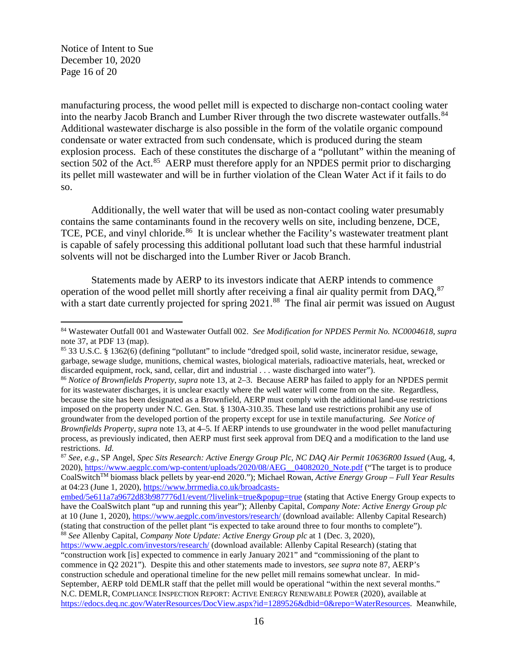Notice of Intent to Sue December 10, 2020 Page 16 of 20

<span id="page-15-0"></span> $\overline{\phantom{a}}$ 

manufacturing process, the wood pellet mill is expected to discharge non-contact cooling water into the nearby Jacob Branch and Lumber River through the two discrete wastewater outfalls.<sup>84</sup> Additional wastewater discharge is also possible in the form of the volatile organic compound condensate or water extracted from such condensate, which is produced during the steam explosion process. Each of these constitutes the discharge of a "pollutant" within the meaning of section 502 of the Act.<sup>85</sup> AERP must therefore apply for an NPDES permit prior to discharging its pellet mill wastewater and will be in further violation of the Clean Water Act if it fails to do so.

Additionally, the well water that will be used as non-contact cooling water presumably contains the same contaminants found in the recovery wells on site, including benzene, DCE, TCE, PCE, and vinyl chloride.<sup>86</sup> It is unclear whether the Facility's wastewater treatment plant is capable of safely processing this additional pollutant load such that these harmful industrial solvents will not be discharged into the Lumber River or Jacob Branch.

Statements made by AERP to its investors indicate that AERP intends to commence operation of the wood pellet mill shortly after receiving a final air quality permit from DAQ,  $87$ with a start date currently projected for spring 2021.<sup>88</sup> The final air permit was issued on August

<span id="page-15-1"></span><sup>84</sup> Wastewater Outfall 001 and Wastewater Outfall 002. *See Modification for NPDES Permit No. NC0004618*, *supra*  not[e 37,](#page-6-0) at PDF 13 (map).

<span id="page-15-2"></span><sup>85</sup> 33 U.S.C. § 1362(6) (defining "pollutant" to include "dredged spoil, solid waste, incinerator residue, sewage, garbage, sewage sludge, munitions, chemical wastes, biological materials, radioactive materials, heat, wrecked or discarded equipment, rock, sand, cellar, dirt and industrial . . . waste discharged into water").

<span id="page-15-3"></span><sup>86</sup> *Notice of Brownfields Property*, *supra* note [13,](#page-2-7) at 2–3. Because AERP has failed to apply for an NPDES permit for its wastewater discharges, it is unclear exactly where the well water will come from on the site. Regardless, because the site has been designated as a Brownfield, AERP must comply with the additional land-use restrictions imposed on the property under N.C. Gen. Stat. § 130A-310.35. These land use restrictions prohibit any use of groundwater from the developed portion of the property except for use in textile manufacturing. *See Notice of Brownfields Property*, *supra* note [13,](#page-2-7) at 4–5. If AERP intends to use groundwater in the wood pellet manufacturing process, as previously indicated, then AERP must first seek approval from DEQ and a modification to the land use restrictions. *Id.* 87 *See, e.g.*, SP Angel, *Spec Sits Research: Active Energy Group Plc, NC DAQ Air Permit 10636R00 Issued* (Aug, 4,

<span id="page-15-4"></span><sup>2020),</sup> [https://www.aegplc.com/wp-content/uploads/2020/08/AEG\\_\\_04082020\\_Note.pdf](https://www.aegplc.com/wp-content/uploads/2020/08/AEG__04082020_Note.pdf) ("The target is to produce CoalSwitchTM biomass black pellets by year-end 2020."); Michael Rowan, *Active Energy Group – Full Year Results* at 04:23 (June 1, 2020)[, https://www.brrmedia.co.uk/broadcasts-](https://www.brrmedia.co.uk/broadcasts-embed/5e611a7a9672d83b987776d1/event/?livelink=true&popup=true)

[embed/5e611a7a9672d83b987776d1/event/?livelink=true&popup=true](https://www.brrmedia.co.uk/broadcasts-embed/5e611a7a9672d83b987776d1/event/?livelink=true&popup=true) (stating that Active Energy Group expects to have the CoalSwitch plant "up and running this year"); Allenby Capital, *Company Note: Active Energy Group plc* at 10 (June 1, 2020)[, https://www.aegplc.com/investors/research/](https://www.aegplc.com/investors/research/) (download available: Allenby Capital Research) (stating that construction of the pellet plant "is expected to take around three to four months to complete"). <sup>88</sup> *See* Allenby Capital, *Company Note Update: Active Energy Group plc* at 1 (Dec. 3, 2020),

<span id="page-15-5"></span><https://www.aegplc.com/investors/research/> (download available: Allenby Capital Research) (stating that "construction work [is] expected to commence in early January 2021" and "commissioning of the plant to commence in Q2 2021"). Despite this and other statements made to investors, *see supra* not[e 87,](#page-15-0) AERP's construction schedule and operational timeline for the new pellet mill remains somewhat unclear. In mid-September, AERP told DEMLR staff that the pellet mill would be operational "within the next several months." N.C. DEMLR, COMPLIANCE INSPECTION REPORT: ACTIVE ENERGY RENEWABLE POWER (2020), available at [https://edocs.deq.nc.gov/WaterResources/DocView.aspx?id=1289526&dbid=0&repo=WaterResources.](https://edocs.deq.nc.gov/WaterResources/DocView.aspx?id=1289526&dbid=0&repo=WaterResources) Meanwhile,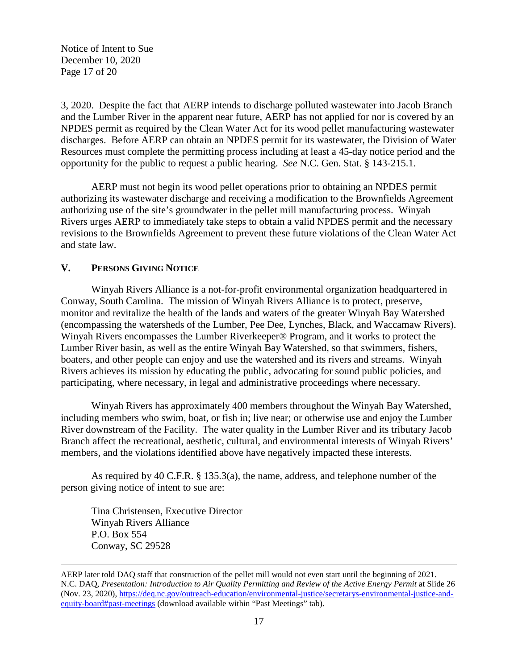Notice of Intent to Sue December 10, 2020 Page 17 of 20

3, 2020. Despite the fact that AERP intends to discharge polluted wastewater into Jacob Branch and the Lumber River in the apparent near future, AERP has not applied for nor is covered by an NPDES permit as required by the Clean Water Act for its wood pellet manufacturing wastewater discharges. Before AERP can obtain an NPDES permit for its wastewater, the Division of Water Resources must complete the permitting process including at least a 45-day notice period and the opportunity for the public to request a public hearing. *See* N.C. Gen. Stat. § 143-215.1.

AERP must not begin its wood pellet operations prior to obtaining an NPDES permit authorizing its wastewater discharge and receiving a modification to the Brownfields Agreement authorizing use of the site's groundwater in the pellet mill manufacturing process. Winyah Rivers urges AERP to immediately take steps to obtain a valid NPDES permit and the necessary revisions to the Brownfields Agreement to prevent these future violations of the Clean Water Act and state law.

## **V. PERSONS GIVING NOTICE**

Winyah Rivers Alliance is a not-for-profit environmental organization headquartered in Conway, South Carolina. The mission of Winyah Rivers Alliance is to protect, preserve, monitor and revitalize the health of the lands and waters of the greater Winyah Bay Watershed (encompassing the watersheds of the Lumber, Pee Dee, Lynches, Black, and Waccamaw Rivers). Winyah Rivers encompasses the Lumber Riverkeeper® Program, and it works to protect the Lumber River basin, as well as the entire Winyah Bay Watershed, so that swimmers, fishers, boaters, and other people can enjoy and use the watershed and its rivers and streams. Winyah Rivers achieves its mission by educating the public, advocating for sound public policies, and participating, where necessary, in legal and administrative proceedings where necessary.

Winyah Rivers has approximately 400 members throughout the Winyah Bay Watershed, including members who swim, boat, or fish in; live near; or otherwise use and enjoy the Lumber River downstream of the Facility. The water quality in the Lumber River and its tributary Jacob Branch affect the recreational, aesthetic, cultural, and environmental interests of Winyah Rivers' members, and the violations identified above have negatively impacted these interests.

As required by 40 C.F.R. § 135.3(a), the name, address, and telephone number of the person giving notice of intent to sue are:

Tina Christensen, Executive Director Winyah Rivers Alliance P.O. Box 554 Conway, SC 29528

AERP later told DAQ staff that construction of the pellet mill would not even start until the beginning of 2021. N.C. DAQ, *Presentation: Introduction to Air Quality Permitting and Review of the Active Energy Permit* at Slide 26 (Nov. 23, 2020), [https://deq.nc.gov/outreach-education/environmental-justice/secretarys-environmental-justice-and](https://deq.nc.gov/outreach-education/environmental-justice/secretarys-environmental-justice-and-equity-board#past-meetings)[equity-board#past-meetings](https://deq.nc.gov/outreach-education/environmental-justice/secretarys-environmental-justice-and-equity-board#past-meetings) (download available within "Past Meetings" tab).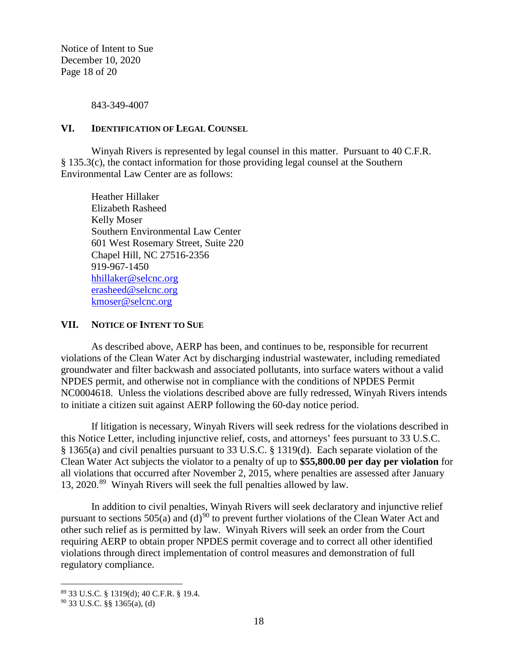Notice of Intent to Sue December 10, 2020 Page 18 of 20

843-349-4007

#### **VI. IDENTIFICATION OF LEGAL COUNSEL**

Winyah Rivers is represented by legal counsel in this matter. Pursuant to 40 C.F.R. § 135.3(c), the contact information for those providing legal counsel at the Southern Environmental Law Center are as follows:

Heather Hillaker Elizabeth Rasheed Kelly Moser Southern Environmental Law Center 601 West Rosemary Street, Suite 220 Chapel Hill, NC 27516-2356 919-967-1450 [hhillaker@selcnc.org](mailto:hhillaker@selcnc.org) [erasheed@selcnc.org](mailto:erasheed@selcnc.org) [kmoser@selcnc.org](mailto:kmoser@selcnc.org)

#### **VII. NOTICE OF INTENT TO SUE**

As described above, AERP has been, and continues to be, responsible for recurrent violations of the Clean Water Act by discharging industrial wastewater, including remediated groundwater and filter backwash and associated pollutants, into surface waters without a valid NPDES permit, and otherwise not in compliance with the conditions of NPDES Permit NC0004618. Unless the violations described above are fully redressed, Winyah Rivers intends to initiate a citizen suit against AERP following the 60-day notice period.

If litigation is necessary, Winyah Rivers will seek redress for the violations described in this Notice Letter, including injunctive relief, costs, and attorneys' fees pursuant to 33 U.S.C. § 1365(a) and civil penalties pursuant to 33 U.S.C. § 1319(d). Each separate violation of the Clean Water Act subjects the violator to a penalty of up to **\$55,800.00 per day per violation** for all violations that occurred after November 2, 2015, where penalties are assessed after January 13, 2020.[89](#page-17-0) Winyah Rivers will seek the full penalties allowed by law.

In addition to civil penalties, Winyah Rivers will seek declaratory and injunctive relief pursuant to sections 505(a) and (d)<sup>[90](#page-17-1)</sup> to prevent further violations of the Clean Water Act and other such relief as is permitted by law. Winyah Rivers will seek an order from the Court requiring AERP to obtain proper NPDES permit coverage and to correct all other identified violations through direct implementation of control measures and demonstration of full regulatory compliance.

<span id="page-17-0"></span><sup>89</sup> 33 U.S.C. § 1319(d); 40 C.F.R. § 19.4.

<span id="page-17-1"></span> $90$  33 U.S.C. §§ 1365(a), (d)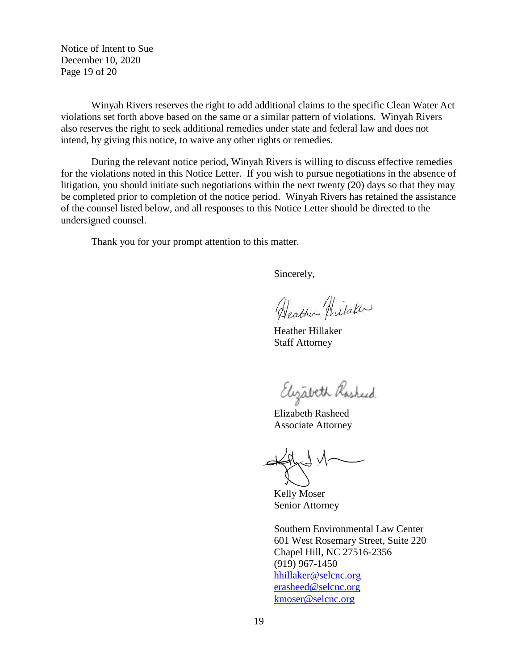Notice of Intent to Sue December 10, 2020 Page 19 of 20

Winyah Rivers reserves the right to add additional claims to the specific Clean Water Act violations set forth above based on the same or a similar pattern of violations. Winyah Rivers also reserves the right to seek additional remedies under state and federal law and does not intend, by giving this notice, to waive any other rights or remedies.

During the relevant notice period, Winyah Rivers is willing to discuss effective remedies for the violations noted in this Notice Letter. If you wish to pursue negotiations in the absence of litigation, you should initiate such negotiations within the next twenty (20) days so that they may be completed prior to completion of the notice period. Winyah Rivers has retained the assistance of the counsel listed below, and all responses to this Notice Letter should be directed to the undersigned counsel.

Thank you for your prompt attention to this matter.

Sincerely,

Heather Hilaker

Heather Hillaker Staff Attorney

Elizabeth Rasheed

Elizabeth Rasheed Associate Attorney

Kelly Moser Senior Attorney

Southern Environmental Law Center 601 West Rosemary Street, Suite 220 Chapel Hill, NC 27516-2356 (919) 967-1450 [hhillaker@selcnc.org](mailto:hhillaker@selcnc.org) [erasheed@selcnc.org](mailto:erasheed@selcnc.org) kmoser@selcnc.org